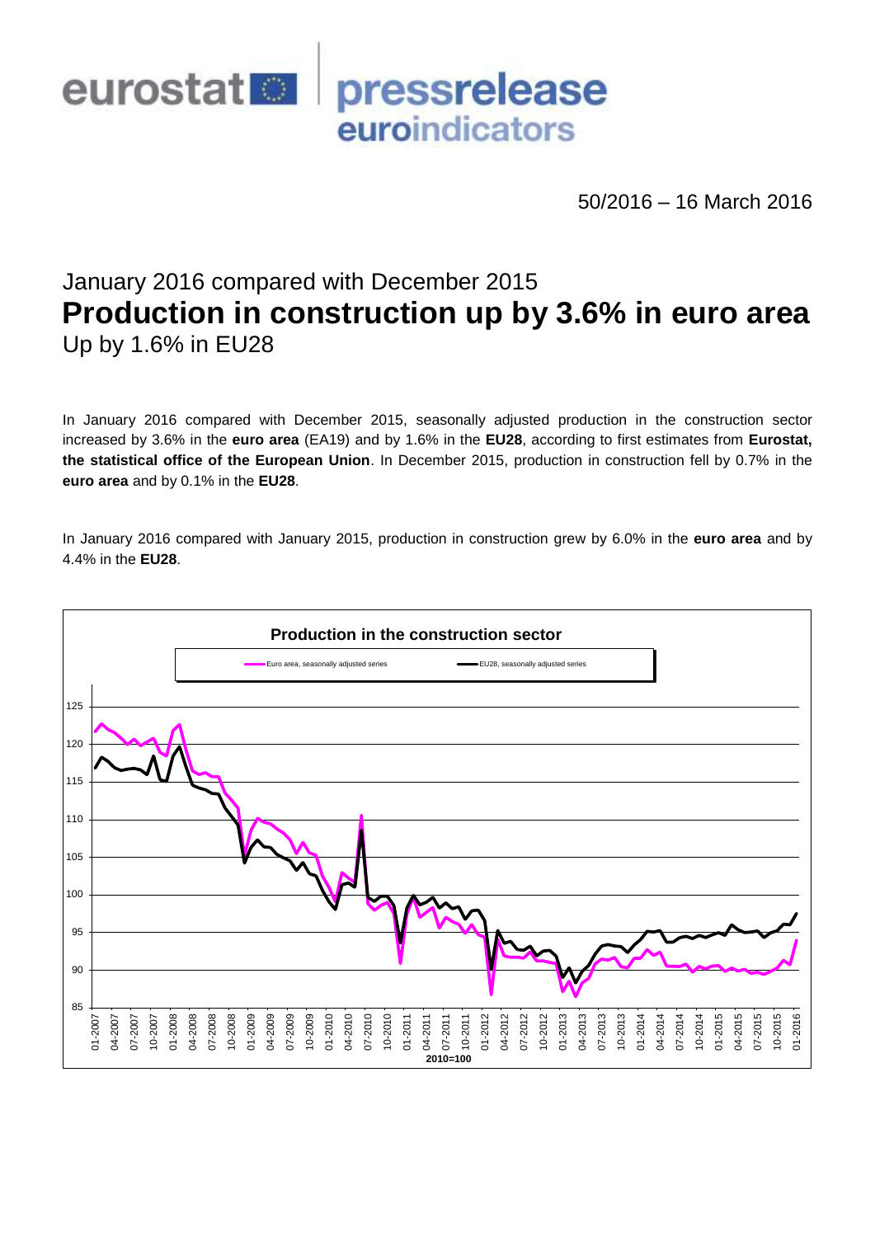

50/2016 – 16 March 2016

# January 2016 compared with December 2015 **Production in construction up by 3.6% in euro area** Up by 1.6% in EU28

In January 2016 compared with December 2015, seasonally adjusted production in the construction sector increased by 3.6% in the **euro area** (EA19) and by 1.6% in the **EU28**, according to first estimates from **Eurostat, the statistical office of the European Union**. In December 2015, production in construction fell by 0.7% in the **euro area** and by 0.1% in the **EU28**.

In January 2016 compared with January 2015, production in construction grew by 6.0% in the **euro area** and by 4.4% in the **EU28**.

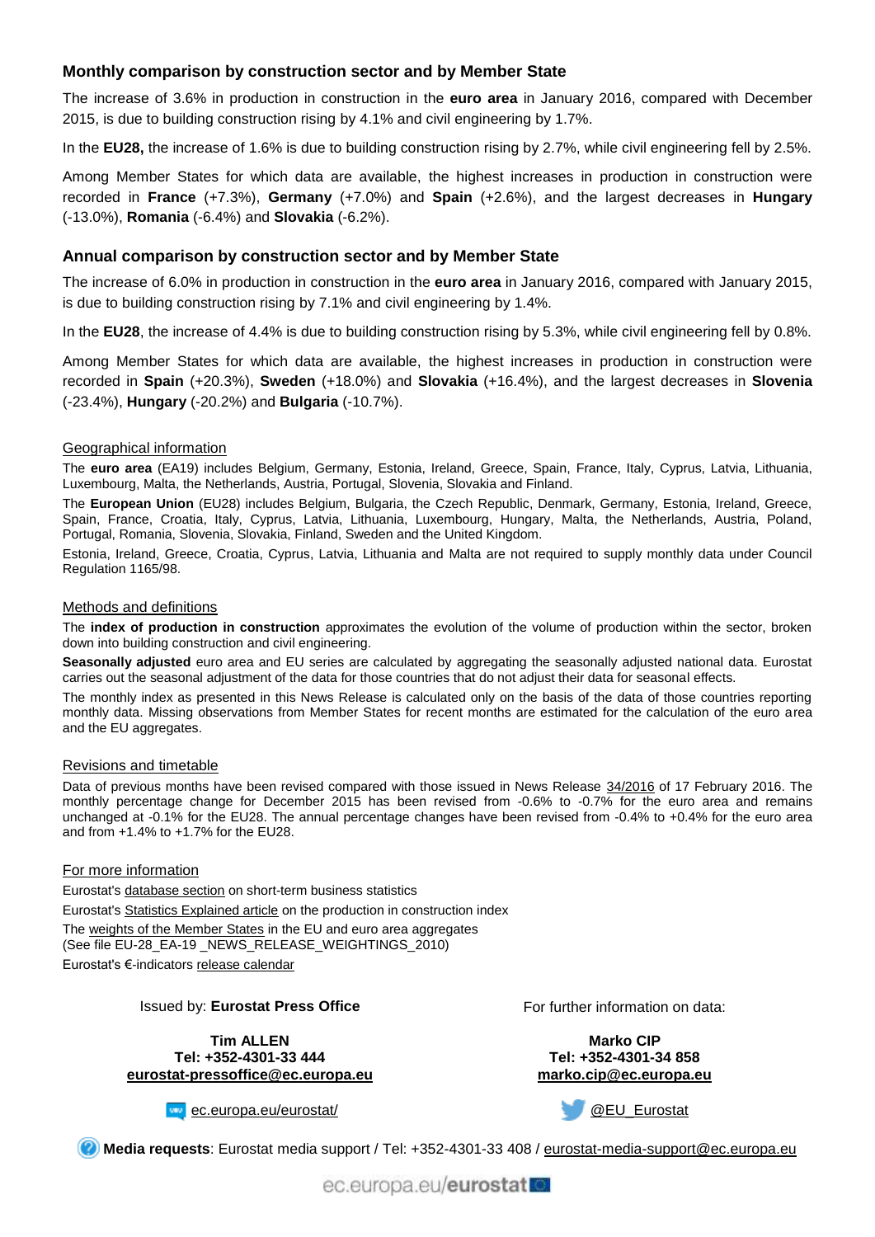# **Monthly comparison by construction sector and by Member State**

The increase of 3.6% in production in construction in the **euro area** in January 2016, compared with December 2015, is due to building construction rising by 4.1% and civil engineering by 1.7%.

In the **EU28,** the increase of 1.6% is due to building construction rising by 2.7%, while civil engineering fell by 2.5%.

Among Member States for which data are available, the highest increases in production in construction were recorded in **France** (+7.3%), **Germany** (+7.0%) and **Spain** (+2.6%), and the largest decreases in **Hungary** (-13.0%), **Romania** (-6.4%) and **Slovakia** (-6.2%).

## **Annual comparison by construction sector and by Member State**

The increase of 6.0% in production in construction in the **euro area** in January 2016, compared with January 2015, is due to building construction rising by 7.1% and civil engineering by 1.4%.

In the **EU28**, the increase of 4.4% is due to building construction rising by 5.3%, while civil engineering fell by 0.8%.

Among Member States for which data are available, the highest increases in production in construction were recorded in **Spain** (+20.3%), **Sweden** (+18.0%) and **Slovakia** (+16.4%), and the largest decreases in **Slovenia** (-23.4%), **Hungary** (-20.2%) and **Bulgaria** (-10.7%).

### Geographical information

The **euro area** (EA19) includes Belgium, Germany, Estonia, Ireland, Greece, Spain, France, Italy, Cyprus, Latvia, Lithuania, Luxembourg, Malta, the Netherlands, Austria, Portugal, Slovenia, Slovakia and Finland.

The **European Union** (EU28) includes Belgium, Bulgaria, the Czech Republic, Denmark, Germany, Estonia, Ireland, Greece, Spain, France, Croatia, Italy, Cyprus, Latvia, Lithuania, Luxembourg, Hungary, Malta, the Netherlands, Austria, Poland, Portugal, Romania, Slovenia, Slovakia, Finland, Sweden and the United Kingdom.

Estonia, Ireland, Greece, Croatia, Cyprus, Latvia, Lithuania and Malta are not required to supply monthly data under Council Regulation 1165/98.

#### Methods and definitions

The **index of production in construction** approximates the evolution of the volume of production within the sector, broken down into building construction and civil engineering.

**Seasonally adjusted** euro area and EU series are calculated by aggregating the seasonally adjusted national data. Eurostat carries out the seasonal adjustment of the data for those countries that do not adjust their data for seasonal effects.

The monthly index as presented in this News Release is calculated only on the basis of the data of those countries reporting monthly data. Missing observations from Member States for recent months are estimated for the calculation of the euro area and the EU aggregates.

#### Revisions and timetable

Data of previous months have been revised compared with those issued in News Release [34/2016](http://ec.europa.eu/eurostat/documents/2995521/7160174/4-17022016-AP-EN.pdf/21b7065c-ca37-4d28-9e69-c31d17cb9a0a) of 17 February 2016. The monthly percentage change for December 2015 has been revised from -0.6% to -0.7% for the euro area and remains unchanged at -0.1% for the EU28. The annual percentage changes have been revised from -0.4% to +0.4% for the euro area and from +1.4% to +1.7% for the EU28.

#### For more information

Eurostat's [database section](http://ec.europa.eu/eurostat/web/short-term-business-statistics/data/database) on short-term business statistics Eurostat's [Statistics Explained article](http://ec.europa.eu/eurostat/statistics-explained/index.php/Construction_production_(volume)_index_overview) on the production in construction index Th[e weights of the Member States](https://circabc.europa.eu/w/browse/5e6d1e48-056c-4c6a-8278-3ab138bcf575) in the EU and euro area aggregates (See file EU-28\_EA-19 \_NEWS\_RELEASE\_WEIGHTINGS\_2010) Eurostat's €-indicators [release calendar](http://ec.europa.eu/eurostat/news/release-calendar)

Issued by: **Eurostat Press Office**

**Tim ALLEN Tel: +352-4301-33 444 [eurostat-pressoffice@ec.europa.eu](mailto:eurostat-pressoffice@ec.europa.eu)** For further information on data:

**Marko CIP Tel: +352-4301-34 858 [marko.cip@ec.europa.eu](mailto:marko.cip@ec.europa.eu)**

**[ec.europa.eu/eurostat/](http://ec.europa.eu/eurostat/)** 

[@EU\\_Eurostat](http://twitter.com/EU_Eurostat)

**Media requests**: Eurostat media support / Tel: +352-4301-33 408 / [eurostat-media-support@ec.europa.eu](mailto:eurostat-media-support@ec.europa.eu)

ec.europa.eu/eurostat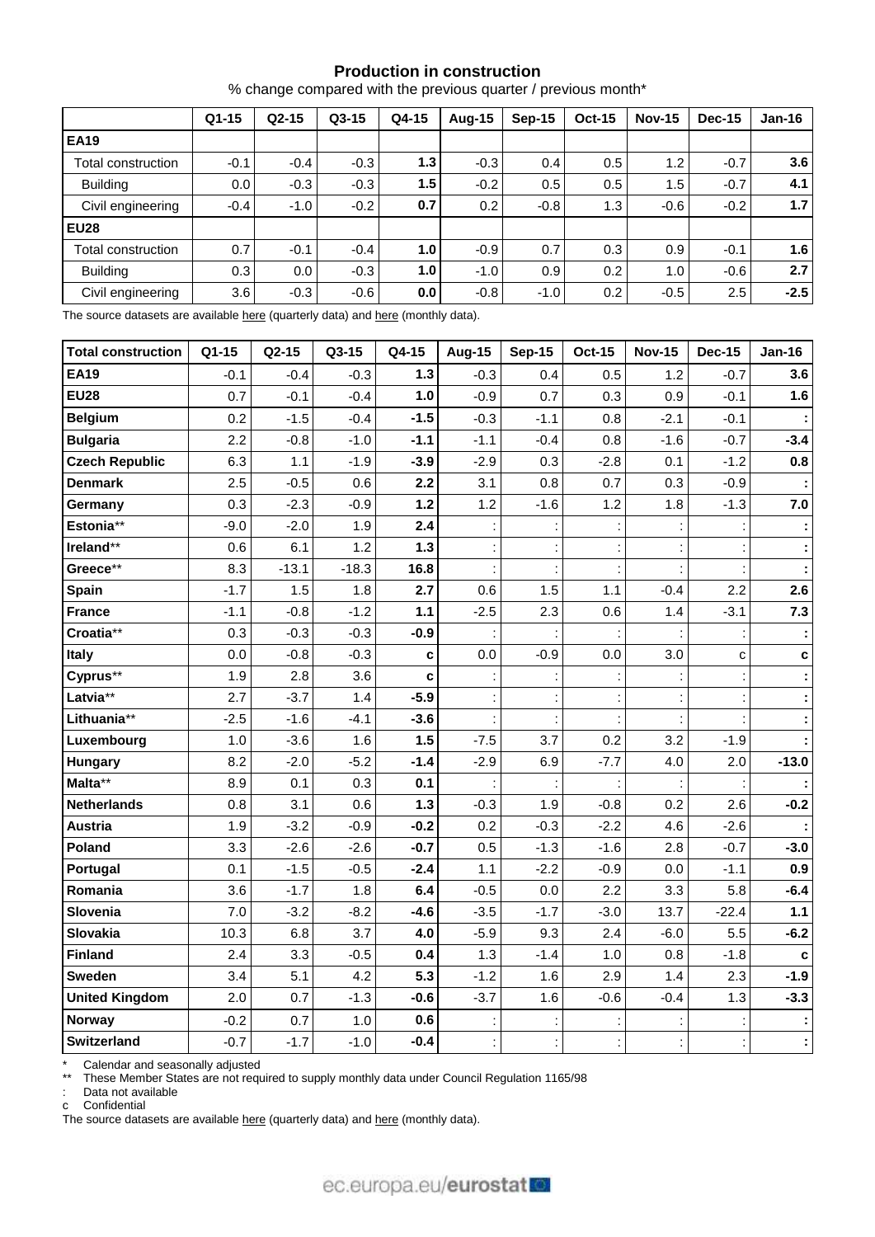## **Production in construction**

% change compared with the previous quarter / previous month\*

|                    | $Q1-15$ | $Q2-15$ | $Q3-15$ | Q4-15 | <b>Aug-15</b> | $Sep-15$ | <b>Oct-15</b> | <b>Nov-15</b> | <b>Dec-15</b> | $Jan-16$ |
|--------------------|---------|---------|---------|-------|---------------|----------|---------------|---------------|---------------|----------|
| <b>EA19</b>        |         |         |         |       |               |          |               |               |               |          |
| Total construction | $-0.1$  | $-0.4$  | $-0.3$  | 1.3   | $-0.3$        | 0.4      | 0.5           | 1.2           | $-0.7$        | 3.6      |
| <b>Building</b>    | 0.0     | $-0.3$  | $-0.3$  | 1.5   | $-0.2$        | 0.5      | 0.5           | 1.5           | $-0.7$        | 4.1      |
| Civil engineering  | $-0.4$  | $-1.0$  | $-0.2$  | 0.7   | 0.2           | $-0.8$   | 1.3           | $-0.6$        | $-0.2$        | 1.7      |
| <b>EU28</b>        |         |         |         |       |               |          |               |               |               |          |
| Total construction | 0.7     | $-0.1$  | $-0.4$  | 1.0   | $-0.9$        | 0.7      | 0.3           | 0.9           | $-0.1$        | 1.6      |
| <b>Building</b>    | 0.3     | 0.0     | $-0.3$  | 1.0   | $-1.0$        | 0.9      | 0.2           | 1.0           | $-0.6$        | 2.7      |
| Civil engineering  | 3.6     | $-0.3$  | $-0.6$  | 0.0   | $-0.8$        | $-1.0$   | 0.2           | $-0.5$        | 2.5           | $-2.5$   |

The source datasets are available [here](http://appsso.eurostat.ec.europa.eu/nui/show.do?query=BOOKMARK_DS-069599_QID_-67365B53_UID_-3F171EB0&layout=TIME,C,X,0;GEO,L,Y,0;NACE_R2,L,Y,1;INDIC_BT,L,Z,0;S_ADJ,C,Z,1;UNIT,L,Z,2;INDICATORS,C,Z,3;&zSelection=DS-069599INDIC_BT,PROD;DS-069599S_ADJ,SWDA;DS-069599INDICATORS,OBS_FLAG;DS-069599UNIT,PCH_PRE;&rankName1=UNIT_1_2_-1_2&rankName2=INDIC-BT_1_2_-1_2&rankName3=INDICATORS_1_2_-1_2&rankName4=S-ADJ_1_2_-1_2&rankName5=TIME_1_0_0_0&rankName6=GEO_1_0_0_1&rankName7=NACE-R2_1_0_1_1&sortR=ASC_-1_FIRST&sortC=ASC_-1_FIRST&rStp=&cStp=&rDCh=&cDCh=&rDM=true&cDM=true&footnes=false&empty=false&wai=false&time_mode=ROLLING&time_most_recent=false&lang=EN&cfo=%23%23%23%2C%23%23%23.%23%23%23) (quarterly data) and here (monthly data).

| <b>Total construction</b> | Q1-15  | $Q2-15$ | Q3-15   | Q4-15  | <b>Aug-15</b> | <b>Sep-15</b> | <b>Oct-15</b> | <b>Nov-15</b> | <b>Dec-15</b> | <b>Jan-16</b> |
|---------------------------|--------|---------|---------|--------|---------------|---------------|---------------|---------------|---------------|---------------|
| <b>EA19</b>               | $-0.1$ | $-0.4$  | $-0.3$  | $1.3$  | $-0.3$        | 0.4           | 0.5           | 1.2           | $-0.7$        | 3.6           |
| <b>EU28</b>               | 0.7    | $-0.1$  | $-0.4$  | 1.0    | $-0.9$        | 0.7           | 0.3           | 0.9           | $-0.1$        | 1.6           |
| <b>Belgium</b>            | 0.2    | $-1.5$  | $-0.4$  | $-1.5$ | $-0.3$        | $-1.1$        | 0.8           | $-2.1$        | $-0.1$        |               |
| <b>Bulgaria</b>           | 2.2    | $-0.8$  | $-1.0$  | $-1.1$ | $-1.1$        | $-0.4$        | 0.8           | $-1.6$        | $-0.7$        | $-3.4$        |
| <b>Czech Republic</b>     | 6.3    | 1.1     | $-1.9$  | $-3.9$ | $-2.9$        | 0.3           | $-2.8$        | 0.1           | $-1.2$        | 0.8           |
| <b>Denmark</b>            | 2.5    | $-0.5$  | 0.6     | 2.2    | 3.1           | 0.8           | 0.7           | 0.3           | $-0.9$        |               |
| Germany                   | 0.3    | $-2.3$  | $-0.9$  | $1.2$  | 1.2           | $-1.6$        | 1.2           | 1.8           | $-1.3$        | 7.0           |
| Estonia**                 | $-9.0$ | $-2.0$  | 1.9     | 2.4    |               |               |               |               |               |               |
| Ireland**                 | 0.6    | 6.1     | 1.2     | $1.3$  |               |               |               |               |               |               |
| Greece**                  | 8.3    | $-13.1$ | $-18.3$ | 16.8   |               |               |               |               |               |               |
| Spain                     | $-1.7$ | 1.5     | 1.8     | 2.7    | 0.6           | 1.5           | 1.1           | $-0.4$        | 2.2           | 2.6           |
| <b>France</b>             | $-1.1$ | $-0.8$  | $-1.2$  | 1.1    | $-2.5$        | 2.3           | 0.6           | 1.4           | $-3.1$        | 7.3           |
| Croatia**                 | 0.3    | $-0.3$  | $-0.3$  | $-0.9$ |               |               |               |               |               |               |
| Italy                     | 0.0    | $-0.8$  | $-0.3$  | C      | 0.0           | $-0.9$        | 0.0           | 3.0           | C             | C             |
| Cyprus**                  | 1.9    | 2.8     | 3.6     | C      |               |               |               |               |               |               |
| Latvia**                  | 2.7    | $-3.7$  | 1.4     | $-5.9$ |               |               |               |               |               |               |
| Lithuania**               | $-2.5$ | $-1.6$  | $-4.1$  | $-3.6$ |               |               |               |               |               |               |
| Luxembourg                | 1.0    | $-3.6$  | 1.6     | 1.5    | $-7.5$        | 3.7           | 0.2           | 3.2           | $-1.9$        |               |
| <b>Hungary</b>            | 8.2    | $-2.0$  | $-5.2$  | $-1.4$ | $-2.9$        | 6.9           | $-7.7$        | 4.0           | 2.0           | $-13.0$       |
| Malta**                   | 8.9    | 0.1     | 0.3     | 0.1    |               |               |               |               |               |               |
| <b>Netherlands</b>        | 0.8    | 3.1     | 0.6     | $1.3$  | $-0.3$        | 1.9           | $-0.8$        | 0.2           | 2.6           | $-0.2$        |
| <b>Austria</b>            | 1.9    | $-3.2$  | $-0.9$  | $-0.2$ | 0.2           | $-0.3$        | $-2.2$        | 4.6           | $-2.6$        |               |
| Poland                    | 3.3    | $-2.6$  | $-2.6$  | $-0.7$ | 0.5           | $-1.3$        | $-1.6$        | 2.8           | $-0.7$        | $-3.0$        |
| Portugal                  | 0.1    | $-1.5$  | $-0.5$  | $-2.4$ | 1.1           | $-2.2$        | $-0.9$        | 0.0           | $-1.1$        | 0.9           |
| Romania                   | 3.6    | $-1.7$  | 1.8     | 6.4    | $-0.5$        | 0.0           | 2.2           | 3.3           | 5.8           | $-6.4$        |
| Slovenia                  | 7.0    | $-3.2$  | $-8.2$  | $-4.6$ | $-3.5$        | $-1.7$        | $-3.0$        | 13.7          | $-22.4$       | 1.1           |
| Slovakia                  | 10.3   | 6.8     | 3.7     | 4.0    | $-5.9$        | 9.3           | 2.4           | $-6.0$        | 5.5           | $-6.2$        |
| <b>Finland</b>            | 2.4    | 3.3     | $-0.5$  | 0.4    | 1.3           | $-1.4$        | 1.0           | 0.8           | $-1.8$        | $\mathbf c$   |
| Sweden                    | 3.4    | 5.1     | 4.2     | 5.3    | $-1.2$        | 1.6           | 2.9           | 1.4           | 2.3           | $-1.9$        |
| <b>United Kingdom</b>     | 2.0    | 0.7     | $-1.3$  | $-0.6$ | $-3.7$        | 1.6           | $-0.6$        | $-0.4$        | 1.3           | $-3.3$        |
| <b>Norway</b>             | $-0.2$ | 0.7     | 1.0     | 0.6    |               |               |               |               |               |               |
| <b>Switzerland</b>        | $-0.7$ | $-1.7$  | $-1.0$  | $-0.4$ |               |               |               |               |               |               |

\* Calendar and seasonally adjusted

\*\* These Member States are not required to supply monthly data under Council Regulation 1165/98

: Data not available

c Confidential

The source datasets are available [here](http://appsso.eurostat.ec.europa.eu/nui/show.do?query=BOOKMARK_DS-069599_QID_-1BB314F4_UID_-3F171EB0&layout=TIME,C,X,0;GEO,L,Y,0;INDIC_BT,L,Z,0;S_ADJ,C,Z,1;UNIT,L,Z,2;NACE_R2,L,Z,3;INDICATORS,C,Z,4;&zSelection=DS-069599NACE_R2,F;DS-069599INDIC_BT,PROD;DS-069599S_ADJ,SWDA;DS-069599INDICATORS,OBS_FLAG;DS-069599UNIT,PCH_PRE;&rankName1=UNIT_1_2_-1_2&rankName2=INDIC-BT_1_2_-1_2&rankName3=INDICATORS_1_2_-1_2&rankName4=S-ADJ_1_2_-1_2&rankName5=NACE-R2_1_2_-1_2&rankName6=TIME_1_0_0_0&rankName7=GEO_1_0_0_1&sortR=ASC_-1_FIRST&sortC=ASC_-1_FIRST&rStp=&cStp=&rDCh=&cDCh=&rDM=true&cDM=true&footnes=false&empty=false&wai=false&time_mode=ROLLING&time_most_recent=false&lang=EN&cfo=%23%23%23%2C%23%23%23.%23%23%23) (quarterly data) and here (monthly data).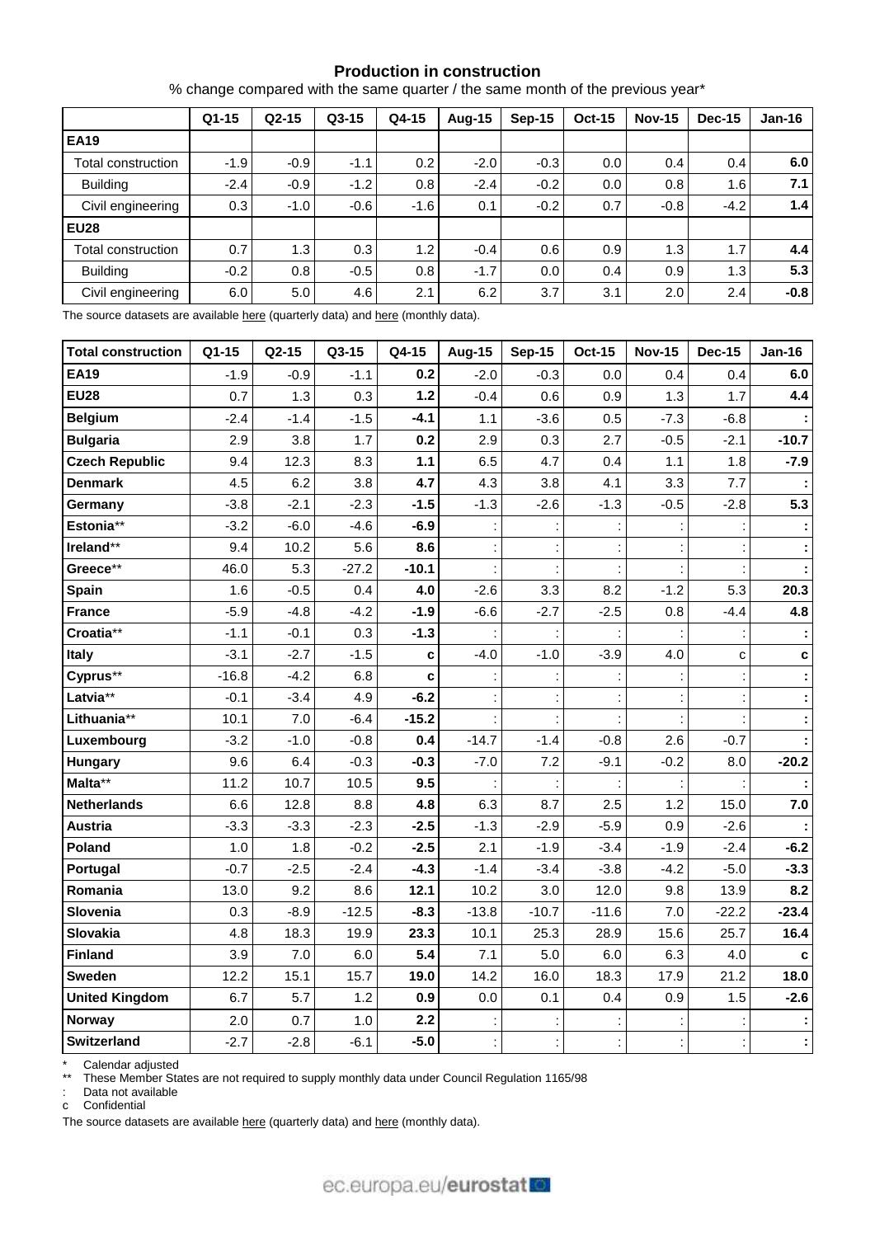### **Production in construction**

% change compared with the same quarter / the same month of the previous year\*

|                    | $Q1-15$ | $Q2-15$ | $Q3-15$ | Q4-15  | Aug-15 | Sep-15 | <b>Oct-15</b> | <b>Nov-15</b> | Dec-15 | $Jan-16$         |
|--------------------|---------|---------|---------|--------|--------|--------|---------------|---------------|--------|------------------|
| <b>EA19</b>        |         |         |         |        |        |        |               |               |        |                  |
| Total construction | $-1.9$  | $-0.9$  | $-1.1$  | 0.2    | $-2.0$ | $-0.3$ | $0.0\,$       | 0.4           | 0.4    | 6.0              |
| <b>Building</b>    | $-2.4$  | $-0.9$  | $-1.2$  | 0.8    | $-2.4$ | $-0.2$ | $0.0\,$       | 0.8           | 1.6    | 7.1              |
| Civil engineering  | 0.3     | $-1.0$  | $-0.6$  | $-1.6$ | 0.1    | $-0.2$ | 0.7           | $-0.8$        | $-4.2$ | 1.4 <sub>1</sub> |
| <b>EU28</b>        |         |         |         |        |        |        |               |               |        |                  |
| Total construction | 0.7     | 1.3     | 0.3     | 1.2    | $-0.4$ | 0.6    | 0.9           | 1.3           | 1.7    | 4.4              |
| <b>Building</b>    | $-0.2$  | 0.8     | $-0.5$  | 0.8    | $-1.7$ | 0.0    | 0.4           | 0.9           | 1.3    | 5.3              |
| Civil engineering  | 6.0     | 5.0     | 4.6     | 2.1    | 6.2    | 3.7    | 3.1           | 2.0           | 2.4    | $-0.8$           |

The source datasets are available [here](http://appsso.eurostat.ec.europa.eu/nui/show.do?query=BOOKMARK_DS-069599_QID_-AB4F977_UID_-3F171EB0&layout=TIME,C,X,0;GEO,L,Y,0;NACE_R2,L,Y,1;INDIC_BT,L,Z,0;S_ADJ,C,Z,1;UNIT,L,Z,2;INDICATORS,C,Z,3;&zSelection=DS-069599INDIC_BT,PROD;DS-069599S_ADJ,SWDA;DS-069599INDICATORS,OBS_FLAG;DS-069599UNIT,PCH_PRE;&rankName1=UNIT_1_2_-1_2&rankName2=INDIC-BT_1_2_-1_2&rankName3=INDICATORS_1_2_-1_2&rankName4=S-ADJ_1_2_-1_2&rankName5=TIME_1_0_0_0&rankName6=GEO_1_0_0_1&rankName7=NACE-R2_1_0_1_1&sortR=ASC_-1_FIRST&sortC=ASC_-1_FIRST&rStp=&cStp=&rDCh=&cDCh=&rDM=true&cDM=true&footnes=false&empty=false&wai=false&time_mode=ROLLING&time_most_recent=false&lang=EN&cfo=%23%23%23%2C%23%23%23.%23%23%23) (quarterly data) and here (monthly data).

| <b>Total construction</b> | Q1-15   | Q2-15  | Q3-15   | Q4-15   | <b>Aug-15</b> | <b>Sep-15</b> | <b>Oct-15</b> | <b>Nov-15</b> | <b>Dec-15</b> | <b>Jan-16</b> |
|---------------------------|---------|--------|---------|---------|---------------|---------------|---------------|---------------|---------------|---------------|
| <b>EA19</b>               | $-1.9$  | $-0.9$ | $-1.1$  | 0.2     | $-2.0$        | $-0.3$        | 0.0           | 0.4           | 0.4           | 6.0           |
| <b>EU28</b>               | 0.7     | 1.3    | 0.3     | $1.2$   | $-0.4$        | 0.6           | 0.9           | 1.3           | 1.7           | 4.4           |
| <b>Belgium</b>            | $-2.4$  | $-1.4$ | $-1.5$  | $-4.1$  | 1.1           | $-3.6$        | 0.5           | $-7.3$        | $-6.8$        |               |
| <b>Bulgaria</b>           | 2.9     | 3.8    | 1.7     | 0.2     | 2.9           | 0.3           | 2.7           | $-0.5$        | $-2.1$        | $-10.7$       |
| <b>Czech Republic</b>     | 9.4     | 12.3   | 8.3     | $1.1$   | 6.5           | 4.7           | 0.4           | 1.1           | 1.8           | $-7.9$        |
| <b>Denmark</b>            | 4.5     | 6.2    | 3.8     | 4.7     | 4.3           | 3.8           | 4.1           | 3.3           | 7.7           |               |
| Germany                   | $-3.8$  | $-2.1$ | $-2.3$  | $-1.5$  | $-1.3$        | $-2.6$        | $-1.3$        | $-0.5$        | $-2.8$        | 5.3           |
| Estonia**                 | $-3.2$  | $-6.0$ | $-4.6$  | $-6.9$  |               |               |               |               |               |               |
| Ireland**                 | 9.4     | 10.2   | 5.6     | 8.6     |               |               |               |               |               |               |
| Greece**                  | 46.0    | 5.3    | $-27.2$ | $-10.1$ |               |               |               |               |               |               |
| Spain                     | 1.6     | $-0.5$ | 0.4     | 4.0     | $-2.6$        | 3.3           | 8.2           | $-1.2$        | 5.3           | 20.3          |
| <b>France</b>             | $-5.9$  | $-4.8$ | $-4.2$  | $-1.9$  | $-6.6$        | $-2.7$        | $-2.5$        | 0.8           | $-4.4$        | 4.8           |
| Croatia**                 | $-1.1$  | $-0.1$ | 0.3     | $-1.3$  |               |               |               |               |               |               |
| <b>Italy</b>              | $-3.1$  | $-2.7$ | $-1.5$  | C       | $-4.0$        | $-1.0$        | $-3.9$        | 4.0           | c             | C             |
| Cyprus**                  | $-16.8$ | $-4.2$ | 6.8     | C       |               |               |               |               |               |               |
| Latvia**                  | $-0.1$  | $-3.4$ | 4.9     | $-6.2$  |               |               |               |               |               |               |
| Lithuania**               | 10.1    | 7.0    | $-6.4$  | $-15.2$ |               |               |               |               |               |               |
| Luxembourg                | $-3.2$  | $-1.0$ | $-0.8$  | 0.4     | $-14.7$       | $-1.4$        | $-0.8$        | 2.6           | $-0.7$        |               |
| <b>Hungary</b>            | 9.6     | 6.4    | $-0.3$  | $-0.3$  | $-7.0$        | 7.2           | $-9.1$        | $-0.2$        | 8.0           | $-20.2$       |
| Malta**                   | 11.2    | 10.7   | 10.5    | 9.5     |               |               |               |               |               |               |
| <b>Netherlands</b>        | 6.6     | 12.8   | 8.8     | 4.8     | 6.3           | 8.7           | 2.5           | 1.2           | 15.0          | 7.0           |
| <b>Austria</b>            | $-3.3$  | $-3.3$ | $-2.3$  | $-2.5$  | $-1.3$        | $-2.9$        | $-5.9$        | 0.9           | $-2.6$        |               |
| Poland                    | 1.0     | 1.8    | $-0.2$  | $-2.5$  | 2.1           | $-1.9$        | $-3.4$        | $-1.9$        | $-2.4$        | $-6.2$        |
| Portugal                  | $-0.7$  | $-2.5$ | $-2.4$  | $-4.3$  | $-1.4$        | $-3.4$        | $-3.8$        | $-4.2$        | $-5.0$        | $-3.3$        |
| Romania                   | 13.0    | 9.2    | 8.6     | 12.1    | 10.2          | 3.0           | 12.0          | 9.8           | 13.9          | 8.2           |
| Slovenia                  | 0.3     | $-8.9$ | $-12.5$ | $-8.3$  | $-13.8$       | $-10.7$       | $-11.6$       | 7.0           | $-22.2$       | $-23.4$       |
| Slovakia                  | 4.8     | 18.3   | 19.9    | 23.3    | 10.1          | 25.3          | 28.9          | 15.6          | 25.7          | 16.4          |
| Finland                   | 3.9     | 7.0    | 6.0     | 5.4     | 7.1           | 5.0           | 6.0           | 6.3           | 4.0           |               |
| Sweden                    | 12.2    | 15.1   | 15.7    | 19.0    | 14.2          | 16.0          | 18.3          | 17.9          | 21.2          | 18.0          |
| <b>United Kingdom</b>     | 6.7     | 5.7    | 1.2     | 0.9     | 0.0           | 0.1           | 0.4           | 0.9           | 1.5           | $-2.6$        |
| <b>Norway</b>             | 2.0     | 0.7    | 1.0     | 2.2     |               |               |               |               |               |               |
| Switzerland               | $-2.7$  | $-2.8$ | $-6.1$  | $-5.0$  |               |               |               |               |               |               |

\* Calendar adjusted

These Member States are not required to supply monthly data under Council Regulation 1165/98

: Data not available

c Confidential

The source datasets are available [here](http://appsso.eurostat.ec.europa.eu/nui/show.do?query=BOOKMARK_DS-069599_QID_-1710547F_UID_-3F171EB0&layout=TIME,C,X,0;GEO,L,Y,0;INDIC_BT,L,Z,0;S_ADJ,C,Z,1;UNIT,L,Z,2;NACE_R2,L,Z,3;INDICATORS,C,Z,4;&zSelection=DS-069599NACE_R2,F;DS-069599INDIC_BT,PROD;DS-069599S_ADJ,WDA;DS-069599INDICATORS,OBS_FLAG;DS-069599UNIT,PCH_SM;&rankName1=UNIT_1_2_-1_2&rankName2=INDIC-BT_1_2_-1_2&rankName3=INDICATORS_1_2_-1_2&rankName4=S-ADJ_1_2_-1_2&rankName5=NACE-R2_1_2_-1_2&rankName6=TIME_1_0_0_0&rankName7=GEO_1_0_0_1&sortR=ASC_-1_FIRST&sortC=ASC_-1_FIRST&rStp=&cStp=&rDCh=&cDCh=&rDM=true&cDM=true&footnes=false&empty=false&wai=false&time_mode=ROLLING&time_most_recent=false&lang=EN&cfo=%23%23%23%2C%23%23%23.%23%23%23) (quarterly data) and here (monthly data).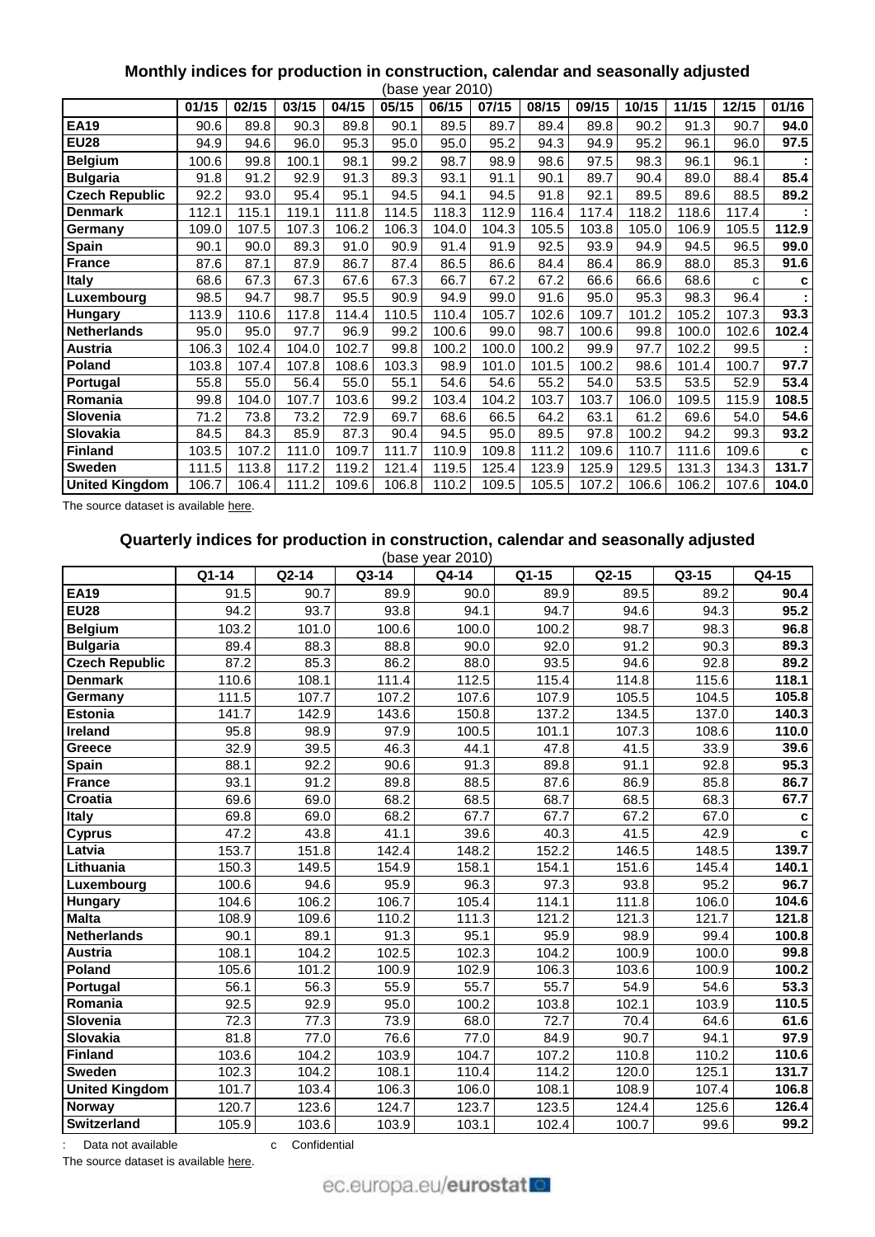# **Monthly indices for production in construction, calendar and seasonally adjusted**

| (base year 2010)      |       |       |       |       |       |       |       |       |       |       |       |       |       |
|-----------------------|-------|-------|-------|-------|-------|-------|-------|-------|-------|-------|-------|-------|-------|
|                       | 01/15 | 02/15 | 03/15 | 04/15 | 05/15 | 06/15 | 07/15 | 08/15 | 09/15 | 10/15 | 11/15 | 12/15 | 01/16 |
| <b>EA19</b>           | 90.6  | 89.8  | 90.3  | 89.8  | 90.1  | 89.5  | 89.7  | 89.4  | 89.8  | 90.2  | 91.3  | 90.7  | 94.0  |
| <b>EU28</b>           | 94.9  | 94.6  | 96.0  | 95.3  | 95.0  | 95.0  | 95.2  | 94.3  | 94.9  | 95.2  | 96.1  | 96.0  | 97.5  |
| <b>Belgium</b>        | 100.6 | 99.8  | 100.1 | 98.1  | 99.2  | 98.7  | 98.9  | 98.6  | 97.5  | 98.3  | 96.1  | 96.1  |       |
| <b>Bulgaria</b>       | 91.8  | 91.2  | 92.9  | 91.3  | 89.3  | 93.1  | 91.1  | 90.1  | 89.7  | 90.4  | 89.0  | 88.4  | 85.4  |
| <b>Czech Republic</b> | 92.2  | 93.0  | 95.4  | 95.1  | 94.5  | 94.1  | 94.5  | 91.8  | 92.1  | 89.5  | 89.6  | 88.5  | 89.2  |
| <b>Denmark</b>        | 112.1 | 115.1 | 119.1 | 111.8 | 114.5 | 118.3 | 112.9 | 116.4 | 117.4 | 118.2 | 118.6 | 117.4 |       |
| Germany               | 109.0 | 107.5 | 107.3 | 106.2 | 106.3 | 104.0 | 104.3 | 105.5 | 103.8 | 105.0 | 106.9 | 105.5 | 112.9 |
| <b>Spain</b>          | 90.1  | 90.0  | 89.3  | 91.0  | 90.9  | 91.4  | 91.9  | 92.5  | 93.9  | 94.9  | 94.5  | 96.5  | 99.0  |
| <b>France</b>         | 87.6  | 87.1  | 87.9  | 86.7  | 87.4  | 86.5  | 86.6  | 84.4  | 86.4  | 86.9  | 88.0  | 85.3  | 91.6  |
| Italy                 | 68.6  | 67.3  | 67.3  | 67.6  | 67.3  | 66.7  | 67.2  | 67.2  | 66.6  | 66.6  | 68.6  | C     | c     |
| Luxembourg            | 98.5  | 94.7  | 98.7  | 95.5  | 90.9  | 94.9  | 99.0  | 91.6  | 95.0  | 95.3  | 98.3  | 96.4  |       |
| Hungary               | 113.9 | 110.6 | 117.8 | 114.4 | 110.5 | 110.4 | 105.7 | 102.6 | 109.7 | 101.2 | 105.2 | 107.3 | 93.3  |
| <b>Netherlands</b>    | 95.0  | 95.0  | 97.7  | 96.9  | 99.2  | 100.6 | 99.0  | 98.7  | 100.6 | 99.8  | 100.0 | 102.6 | 102.4 |
| Austria               | 106.3 | 102.4 | 104.0 | 102.7 | 99.8  | 100.2 | 100.0 | 100.2 | 99.9  | 97.7  | 102.2 | 99.5  |       |
| Poland                | 103.8 | 107.4 | 107.8 | 108.6 | 103.3 | 98.9  | 101.0 | 101.5 | 100.2 | 98.6  | 101.4 | 100.7 | 97.7  |
| Portugal              | 55.8  | 55.0  | 56.4  | 55.0  | 55.1  | 54.6  | 54.6  | 55.2  | 54.0  | 53.5  | 53.5  | 52.9  | 53.4  |
| Romania               | 99.8  | 104.0 | 107.7 | 103.6 | 99.2  | 103.4 | 104.2 | 103.7 | 103.7 | 106.0 | 109.5 | 115.9 | 108.5 |
| Slovenia              | 71.2  | 73.8  | 73.2  | 72.9  | 69.7  | 68.6  | 66.5  | 64.2  | 63.1  | 61.2  | 69.6  | 54.0  | 54.6  |
| Slovakia              | 84.5  | 84.3  | 85.9  | 87.3  | 90.4  | 94.5  | 95.0  | 89.5  | 97.8  | 100.2 | 94.2  | 99.3  | 93.2  |
| <b>Finland</b>        | 103.5 | 107.2 | 111.0 | 109.7 | 111.7 | 110.9 | 109.8 | 111.2 | 109.6 | 110.7 | 111.6 | 109.6 | C     |
| <b>Sweden</b>         | 111.5 | 113.8 | 117.2 | 119.2 | 121.4 | 119.5 | 125.4 | 123.9 | 125.9 | 129.5 | 131.3 | 134.3 | 131.7 |
| <b>United Kingdom</b> | 106.7 | 106.4 | 111.2 | 109.6 | 106.8 | 110.2 | 109.5 | 105.5 | 107.2 | 106.6 | 106.2 | 107.6 | 104.0 |

The source dataset is available [here.](http://appsso.eurostat.ec.europa.eu/nui/show.do?query=BOOKMARK_DS-069591_QID_2CF894AD_UID_-3F171EB0&layout=TIME,C,X,0;GEO,L,Y,0;INDIC_BT,L,Z,0;NACE_R2,L,Z,1;S_ADJ,C,Z,2;INDICATORS,C,Z,3;&zSelection=DS-069591NACE_R2,F;DS-069591INDICATORS,OBS_FLAG;DS-069591S_ADJ,SWDA;DS-069591INDIC_BT,PROD;&rankName1=INDIC-BT_1_2_-1_2&rankName2=INDICATORS_1_2_-1_2&rankName3=S-ADJ_1_2_-1_2&rankName4=NACE-R2_1_2_-1_2&rankName5=TIME_1_0_0_0&rankName6=GEO_1_0_0_1&sortR=ASC_-1_FIRST&sortC=ASC_-1_FIRST&rStp=&cStp=&rDCh=&cDCh=&rDM=true&cDM=true&footnes=false&empty=false&wai=false&time_mode=ROLLING&time_most_recent=false&lang=EN&cfo=%23%23%23%2C%23%23%23.%23%23%23)

# **Quarterly indices for production in construction, calendar and seasonally adjusted**

|                       | (base year 2010) |         |       |       |       |         |         |                   |
|-----------------------|------------------|---------|-------|-------|-------|---------|---------|-------------------|
|                       | Q1-14            | $Q2-14$ | Q3-14 | Q4-14 | Q1-15 | $Q2-15$ | $Q3-15$ | Q4-15             |
| <b>EA19</b>           | 91.5             | 90.7    | 89.9  | 90.0  | 89.9  | 89.5    | 89.2    | 90.4              |
| <b>EU28</b>           | 94.2             | 93.7    | 93.8  | 94.1  | 94.7  | 94.6    | 94.3    | 95.2              |
| <b>Belgium</b>        | 103.2            | 101.0   | 100.6 | 100.0 | 100.2 | 98.7    | 98.3    | 96.8              |
| <b>Bulgaria</b>       | 89.4             | 88.3    | 88.8  | 90.0  | 92.0  | 91.2    | 90.3    | 89.3              |
| <b>Czech Republic</b> | 87.2             | 85.3    | 86.2  | 88.0  | 93.5  | 94.6    | 92.8    | 89.2              |
| <b>Denmark</b>        | 110.6            | 108.1   | 111.4 | 112.5 | 115.4 | 114.8   | 115.6   | 118.1             |
| Germany               | 111.5            | 107.7   | 107.2 | 107.6 | 107.9 | 105.5   | 104.5   | 105.8             |
| <b>Estonia</b>        | 141.7            | 142.9   | 143.6 | 150.8 | 137.2 | 134.5   | 137.0   | 140.3             |
| <b>Ireland</b>        | 95.8             | 98.9    | 97.9  | 100.5 | 101.1 | 107.3   | 108.6   | 110.0             |
| Greece                | 32.9             | 39.5    | 46.3  | 44.1  | 47.8  | 41.5    | 33.9    | 39.6              |
| Spain                 | 88.1             | 92.2    | 90.6  | 91.3  | 89.8  | 91.1    | 92.8    | 95.3              |
| <b>France</b>         | 93.1             | 91.2    | 89.8  | 88.5  | 87.6  | 86.9    | 85.8    | 86.7              |
| <b>Croatia</b>        | 69.6             | 69.0    | 68.2  | 68.5  | 68.7  | 68.5    | 68.3    | 67.7              |
| Italy                 | 69.8             | 69.0    | 68.2  | 67.7  | 67.7  | 67.2    | 67.0    | C                 |
| <b>Cyprus</b>         | 47.2             | 43.8    | 41.1  | 39.6  | 40.3  | 41.5    | 42.9    | C                 |
| Latvia                | 153.7            | 151.8   | 142.4 | 148.2 | 152.2 | 146.5   | 148.5   | 139.7             |
| Lithuania             | 150.3            | 149.5   | 154.9 | 158.1 | 154.1 | 151.6   | 145.4   | 140.1             |
| Luxembourg            | 100.6            | 94.6    | 95.9  | 96.3  | 97.3  | 93.8    | 95.2    | 96.7              |
| Hungary               | 104.6            | 106.2   | 106.7 | 105.4 | 114.1 | 111.8   | 106.0   | 104.6             |
| <b>Malta</b>          | 108.9            | 109.6   | 110.2 | 111.3 | 121.2 | 121.3   | 121.7   | 121.8             |
| <b>Netherlands</b>    | 90.1             | 89.1    | 91.3  | 95.1  | 95.9  | 98.9    | 99.4    | 100.8             |
| Austria               | 108.1            | 104.2   | 102.5 | 102.3 | 104.2 | 100.9   | 100.0   | 99.8              |
| Poland                | 105.6            | 101.2   | 100.9 | 102.9 | 106.3 | 103.6   | 100.9   | 100.2             |
| Portugal              | 56.1             | 56.3    | 55.9  | 55.7  | 55.7  | 54.9    | 54.6    | 53.3              |
| Romania               | 92.5             | 92.9    | 95.0  | 100.2 | 103.8 | 102.1   | 103.9   | 110.5             |
| Slovenia              | 72.3             | 77.3    | 73.9  | 68.0  | 72.7  | 70.4    | 64.6    | 61.6              |
| Slovakia              | 81.8             | 77.0    | 76.6  | 77.0  | 84.9  | 90.7    | 94.1    | 97.9              |
| <b>Finland</b>        | 103.6            | 104.2   | 103.9 | 104.7 | 107.2 | 110.8   | 110.2   | 110.6             |
| <b>Sweden</b>         | 102.3            | 104.2   | 108.1 | 110.4 | 114.2 | 120.0   | 125.1   | 131.7             |
| <b>United Kingdom</b> | 101.7            | 103.4   | 106.3 | 106.0 | 108.1 | 108.9   | 107.4   | 106.8             |
| Norway                | 120.7            | 123.6   | 124.7 | 123.7 | 123.5 | 124.4   | 125.6   | 126.4             |
| <b>Switzerland</b>    | 105.9            | 103.6   | 103.9 | 103.1 | 102.4 | 100.7   | 99.6    | $\overline{99.2}$ |

: Data not available confidential

The source dataset is available [here.](http://appsso.eurostat.ec.europa.eu/nui/show.do?query=BOOKMARK_DS-069621_QID_-5BC5C875_UID_-3F171EB0&layout=TIME,C,X,0;GEO,L,Y,0;INDIC_BT,L,Z,0;NACE_R2,L,Z,1;S_ADJ,C,Z,2;INDICATORS,C,Z,3;&zSelection=DS-069621S_ADJ,SWDA;DS-069621NACE_R2,F;DS-069621INDICATORS,OBS_FLAG;DS-069621INDIC_BT,PROD;&rankName1=INDIC-BT_1_2_-1_2&rankName2=INDICATORS_1_2_-1_2&rankName3=S-ADJ_1_2_-1_2&rankName4=NACE-R2_1_2_-1_2&rankName5=TIME_1_0_0_0&rankName6=GEO_1_0_0_1&sortR=ASC_-1_FIRST&sortC=ASC_-1_FIRST&rStp=&cStp=&rDCh=&cDCh=&rDM=true&cDM=true&footnes=false&empty=false&wai=false&time_mode=ROLLING&time_most_recent=false&lang=EN&cfo=%23%23%23%2C%23%23%23.%23%23%23)